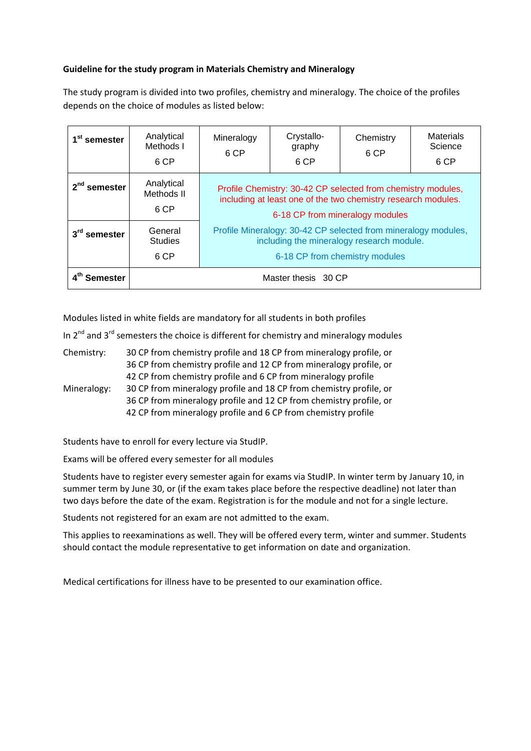## **Guideline for the study program in Materials Chemistry and Mineralogy**

The study program is divided into two profiles, chemistry and mineralogy. The choice of the profiles depends on the choice of modules as listed below:

| 1 <sup>st</sup> semester    | Analytical<br>Methods I<br>6 CP   | Mineralogy<br>6 CP                                                                                                                                               | Crystallo-<br>graphy<br>6 CP | Chemistry<br>6 CP | <b>Materials</b><br>Science<br>6 CP |
|-----------------------------|-----------------------------------|------------------------------------------------------------------------------------------------------------------------------------------------------------------|------------------------------|-------------------|-------------------------------------|
| $2nd$ semester              | Analytical<br>Methods II<br>6 CP  | Profile Chemistry: 30-42 CP selected from chemistry modules,<br>including at least one of the two chemistry research modules.<br>6-18 CP from mineralogy modules |                              |                   |                                     |
| 3 <sup>rd</sup><br>semester | General<br><b>Studies</b><br>6 CP | Profile Mineralogy: 30-42 CP selected from mineralogy modules,<br>including the mineralogy research module.<br>6-18 CP from chemistry modules                    |                              |                   |                                     |
| Semester                    | Master thesis 30 CP               |                                                                                                                                                                  |                              |                   |                                     |

Modules listed in white fields are mandatory for all students in both profiles

In  $2^{nd}$  and  $3^{rd}$  semesters the choice is different for chemistry and mineralogy modules

| Chemistry:  | 30 CP from chemistry profile and 18 CP from mineralogy profile, or<br>36 CP from chemistry profile and 12 CP from mineralogy profile, or                                                                  |  |  |  |
|-------------|-----------------------------------------------------------------------------------------------------------------------------------------------------------------------------------------------------------|--|--|--|
|             | 42 CP from chemistry profile and 6 CP from mineralogy profile                                                                                                                                             |  |  |  |
| Mineralogy: | 30 CP from mineralogy profile and 18 CP from chemistry profile, or<br>36 CP from mineralogy profile and 12 CP from chemistry profile, or<br>42 CP from mineralogy profile and 6 CP from chemistry profile |  |  |  |

Students have to enroll for every lecture via StudIP.

Exams will be offered every semester for all modules

Students have to register every semester again for exams via StudIP. In winter term by January 10, in summer term by June 30, or (if the exam takes place before the respective deadline) not later than two days before the date of the exam. Registration is for the module and not for a single lecture.

Students not registered for an exam are not admitted to the exam.

This applies to reexaminations as well. They will be offered every term, winter and summer. Students should contact the module representative to get information on date and organization.

Medical certifications for illness have to be presented to our examination office.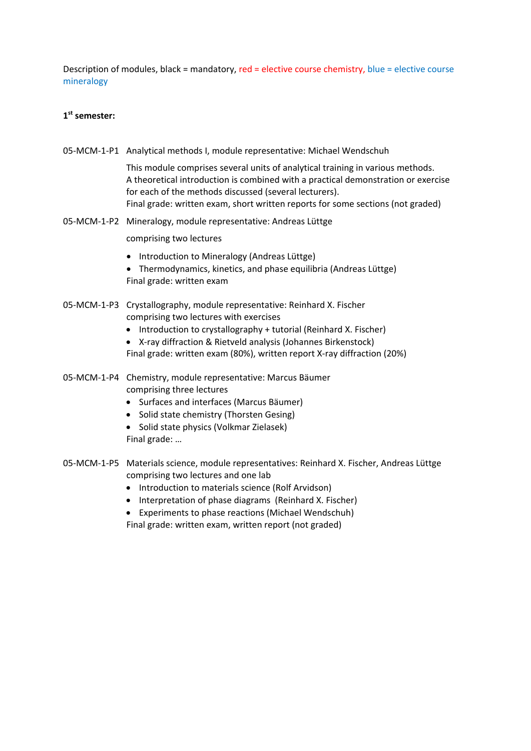Description of modules, black = mandatory, red = elective course chemistry, blue = elective course mineralogy

# **1st semester:**

05‐MCM‐1‐P1 Analytical methods I, module representative: Michael Wendschuh

This module comprises several units of analytical training in various methods. A theoretical introduction is combined with a practical demonstration or exercise for each of the methods discussed (several lecturers). Final grade: written exam, short written reports for some sections (not graded)

05‐MCM‐1‐P2 Mineralogy, module representative: Andreas Lüttge

comprising two lectures

- Introduction to Mineralogy (Andreas Lüttge)
- Thermodynamics, kinetics, and phase equilibria (Andreas Lüttge) Final grade: written exam
- 05‐MCM‐1‐P3 Crystallography, module representative: Reinhard X. Fischer comprising two lectures with exercises
	- Introduction to crystallography + tutorial (Reinhard X. Fischer)
	- X‐ray diffraction & Rietveld analysis (Johannes Birkenstock) Final grade: written exam (80%), written report X‐ray diffraction (20%)
- 05‐MCM‐1‐P4 Chemistry, module representative: Marcus Bäumer comprising three lectures
	- Surfaces and interfaces (Marcus Bäumer)
	- Solid state chemistry (Thorsten Gesing)
	- Solid state physics (Volkmar Zielasek) Final grade: …
- 05‐MCM‐1‐P5 Materials science, module representatives: Reinhard X. Fischer, Andreas Lüttge comprising two lectures and one lab
	- Introduction to materials science (Rolf Arvidson)
	- Interpretation of phase diagrams (Reinhard X. Fischer)
	- Experiments to phase reactions (Michael Wendschuh) Final grade: written exam, written report (not graded)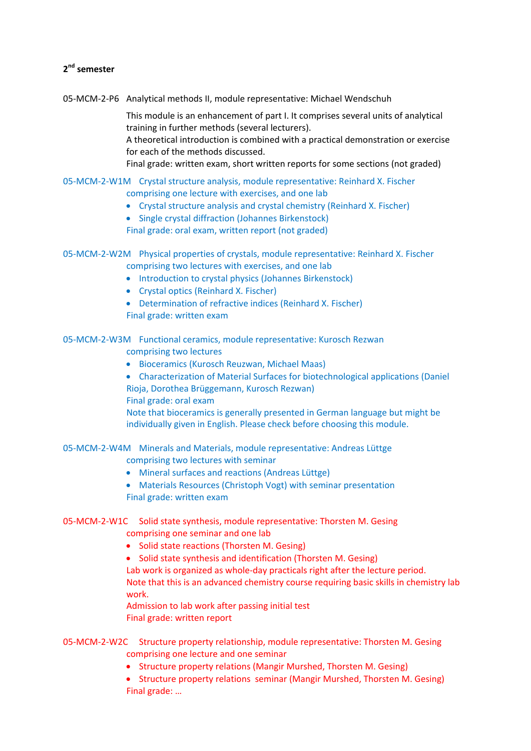# **2nd semester**

05‐MCM‐2‐P6 Analytical methods II, module representative: Michael Wendschuh

This module is an enhancement of part I. It comprises several units of analytical training in further methods (several lecturers). A theoretical introduction is combined with a practical demonstration or exercise for each of the methods discussed. Final grade: written exam, short written reports for some sections (not graded)

05‐MCM‐2‐W1M Crystal structure analysis, module representative: Reinhard X. Fischer

- comprising one lecture with exercises, and one lab
- Crystal structure analysis and crystal chemistry (Reinhard X. Fischer)
- Single crystal diffraction (Johannes Birkenstock)

Final grade: oral exam, written report (not graded)

- 05‐MCM‐2‐W2M Physical properties of crystals, module representative: Reinhard X. Fischer comprising two lectures with exercises, and one lab
	- Introduction to crystal physics (Johannes Birkenstock)
	- Crystal optics (Reinhard X. Fischer)
	- Determination of refractive indices (Reinhard X. Fischer) Final grade: written exam

05‐MCM‐2‐W3M Functional ceramics, module representative: Kurosch Rezwan comprising two lectures

- Bioceramics (Kurosch Reuzwan, Michael Maas)
- Characterization of Material Surfaces for biotechnological applications (Daniel Rioja, Dorothea Brüggemann, Kurosch Rezwan)
- Final grade: oral exam

Note that bioceramics is generally presented in German language but might be individually given in English. Please check before choosing this module.

05‐MCM‐2‐W4M Minerals and Materials, module representative: Andreas Lüttge comprising two lectures with seminar

- Mineral surfaces and reactions (Andreas Lüttge)
- Materials Resources (Christoph Vogt) with seminar presentation Final grade: written exam
- 05‐MCM‐2‐W1C Solid state synthesis, module representative: Thorsten M. Gesing comprising one seminar and one lab
	- Solid state reactions (Thorsten M. Gesing)
	- Solid state synthesis and identification (Thorsten M. Gesing) Lab work is organized as whole-day practicals right after the lecture period. Note that this is an advanced chemistry course requiring basic skills in chemistry lab work.

Admission to lab work after passing initial test Final grade: written report

- 05‐MCM‐2‐W2C Structure property relationship, module representative: Thorsten M. Gesing comprising one lecture and one seminar
	- Structure property relations (Mangir Murshed, Thorsten M. Gesing)
	- Structure property relations seminar (Mangir Murshed, Thorsten M. Gesing) Final grade: …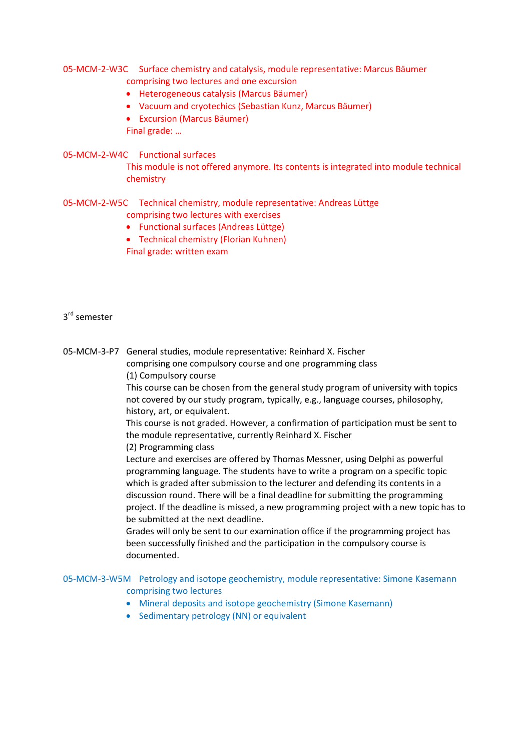## 05‐MCM‐2‐W3C Surface chemistry and catalysis, module representative: Marcus Bäumer comprising two lectures and one excursion

- Heterogeneous catalysis (Marcus Bäumer)
- Vacuum and cryotechics (Sebastian Kunz, Marcus Bäumer)
- Excursion (Marcus Bäumer)

Final grade: …

## 05‐MCM‐2‐W4C Functional surfaces

This module is not offered anymore. Its contents is integrated into module technical chemistry

## 05‐MCM‐2‐W5C Technical chemistry, module representative: Andreas Lüttge

comprising two lectures with exercises

- Functional surfaces (Andreas Lüttge)
- Technical chemistry (Florian Kuhnen) Final grade: written exam

## 3<sup>rd</sup> semester

05‐MCM‐3‐P7 General studies, module representative: Reinhard X. Fischer comprising one compulsory course and one programming class (1) Compulsory course

> This course can be chosen from the general study program of university with topics not covered by our study program, typically, e.g., language courses, philosophy, history, art, or equivalent.

> This course is not graded. However, a confirmation of participation must be sent to the module representative, currently Reinhard X. Fischer

(2) Programming class

Lecture and exercises are offered by Thomas Messner, using Delphi as powerful programming language. The students have to write a program on a specific topic which is graded after submission to the lecturer and defending its contents in a discussion round. There will be a final deadline for submitting the programming project. If the deadline is missed, a new programming project with a new topic has to be submitted at the next deadline.

Grades will only be sent to our examination office if the programming project has been successfully finished and the participation in the compulsory course is documented.

## 05‐MCM‐3‐W5M Petrology and isotope geochemistry, module representative: Simone Kasemann comprising two lectures

- Mineral deposits and isotope geochemistry (Simone Kasemann)
- Sedimentary petrology (NN) or equivalent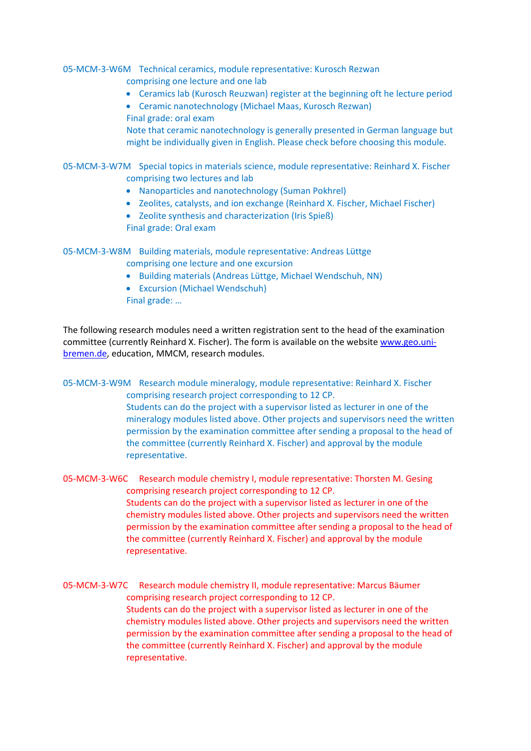05‐MCM‐3‐W6M Technical ceramics, module representative: Kurosch Rezwan comprising one lecture and one lab

- Ceramics lab (Kurosch Reuzwan) register at the beginning oft he lecture period
- Ceramic nanotechnology (Michael Maas, Kurosch Rezwan) Final grade: oral exam

Note that ceramic nanotechnology is generally presented in German language but might be individually given in English. Please check before choosing this module.

## 05‐MCM‐3‐W7M Special topics in materials science, module representative: Reinhard X. Fischer comprising two lectures and lab

- Nanoparticles and nanotechnology (Suman Pokhrel)
- Zeolites, catalysts, and ion exchange (Reinhard X. Fischer, Michael Fischer)
- Zeolite synthesis and characterization (Iris Spieß) Final grade: Oral exam

05‐MCM‐3‐W8M Building materials, module representative: Andreas Lüttge comprising one lecture and one excursion

- Building materials (Andreas Lüttge, Michael Wendschuh, NN)
- Excursion (Michael Wendschuh)

Final grade: …

The following research modules need a written registration sent to the head of the examination committee (currently Reinhard X. Fischer). The form is available on the website www.geo.unibremen.de, education, MMCM, research modules.

05‐MCM‐3‐W9M Research module mineralogy, module representative: Reinhard X. Fischer comprising research project corresponding to 12 CP. Students can do the project with a supervisor listed as lecturer in one of the mineralogy modules listed above. Other projects and supervisors need the written permission by the examination committee after sending a proposal to the head of the committee (currently Reinhard X. Fischer) and approval by the module representative.

05‐MCM‐3‐W6C Research module chemistry I, module representative: Thorsten M. Gesing comprising research project corresponding to 12 CP. Students can do the project with a supervisor listed as lecturer in one of the chemistry modules listed above. Other projects and supervisors need the written permission by the examination committee after sending a proposal to the head of the committee (currently Reinhard X. Fischer) and approval by the module representative.

05‐MCM‐3‐W7C Research module chemistry II, module representative: Marcus Bäumer comprising research project corresponding to 12 CP. Students can do the project with a supervisor listed as lecturer in one of the chemistry modules listed above. Other projects and supervisors need the written permission by the examination committee after sending a proposal to the head of the committee (currently Reinhard X. Fischer) and approval by the module representative.